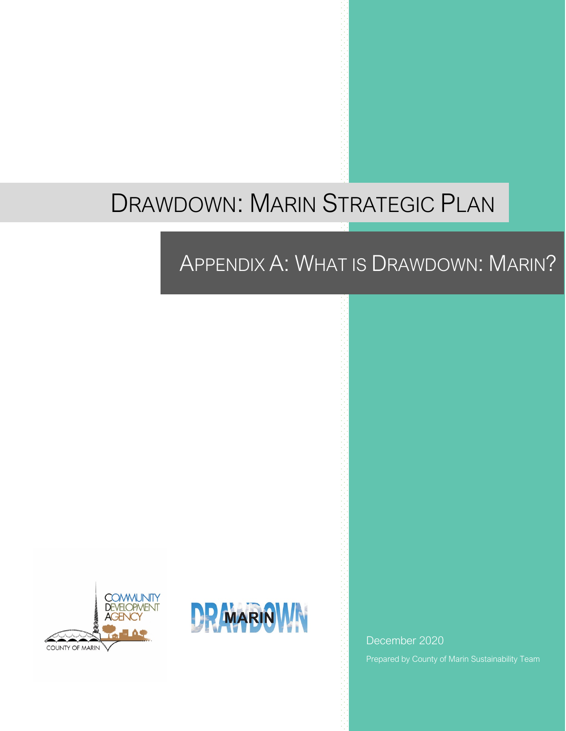# DRAWDOWN: MARIN STRATEGIC PLAN

## APPENDIX A: WHAT IS DRAWDOWN: MARIN?





December 2020 Prepared by County of Marin Sustainability Team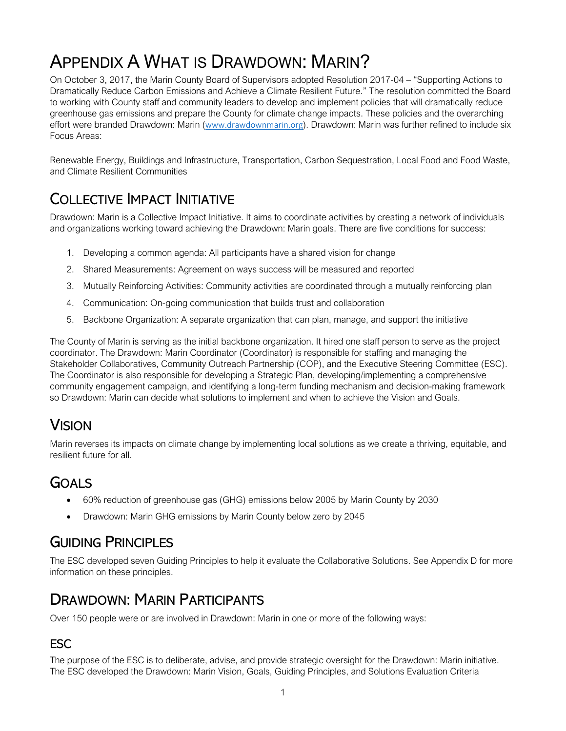## APPENDIX A WHAT IS DRAWDOWN: MARIN?

On October 3, 2017, the Marin County Board of Supervisors adopted Resolution 2017-04 – "Supporting Actions to Dramatically Reduce Carbon Emissions and Achieve a Climate Resilient Future." The resolution committed the Board to working with County staff and community leaders to develop and implement policies that will dramatically reduce greenhouse gas emissions and prepare the County for climate change impacts. These policies and the overarching effort were branded Drawdown: Marin (www.drawdownmarin.org). Drawdown: Marin was further refined to include six Focus Areas:

Renewable Energy, Buildings and Infrastructure, Transportation, Carbon Sequestration, Local Food and Food Waste, and Climate Resilient Communities

## COLLECTIVE IMPACT INITIATIVE

Drawdown: Marin is a Collective Impact Initiative. It aims to coordinate activities by creating a network of individuals and organizations working toward achieving the Drawdown: Marin goals. There are five conditions for success:

- 1. Developing a common agenda: All participants have a shared vision for change
- 2. Shared Measurements: Agreement on ways success will be measured and reported
- 3. Mutually Reinforcing Activities: Community activities are coordinated through a mutually reinforcing plan
- 4. Communication: On-going communication that builds trust and collaboration
- 5. Backbone Organization: A separate organization that can plan, manage, and support the initiative

The County of Marin is serving as the initial backbone organization. It hired one staff person to serve as the project coordinator. The Drawdown: Marin Coordinator (Coordinator) is responsible for staffing and managing the Stakeholder Collaboratives, Community Outreach Partnership (COP), and the Executive Steering Committee (ESC). The Coordinator is also responsible for developing a Strategic Plan, developing/implementing a comprehensive community engagement campaign, and identifying a long-term funding mechanism and decision-making framework so Drawdown: Marin can decide what solutions to implement and when to achieve the Vision and Goals.

## **VISION**

Marin reverses its impacts on climate change by implementing local solutions as we create a thriving, equitable, and resilient future for all.

## GOALS

- 60% reduction of greenhouse gas (GHG) emissions below 2005 by Marin County by 2030
- Drawdown: Marin GHG emissions by Marin County below zero by 2045

## GUIDING PRINCIPLES

The ESC developed seven Guiding Principles to help it evaluate the Collaborative Solutions. See Appendix D for more information on these principles.

## DRAWDOWN: MARIN PARTICIPANTS

Over 150 people were or are involved in Drawdown: Marin in one or more of the following ways:

#### **ESC**

The purpose of the ESC is to deliberate, advise, and provide strategic oversight for the Drawdown: Marin initiative. The ESC developed the Drawdown: Marin Vision, Goals, Guiding Principles, and Solutions Evaluation Criteria